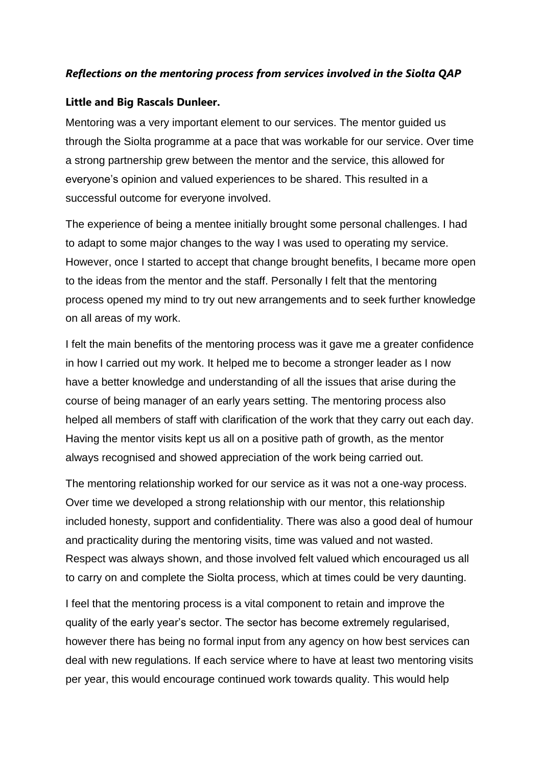## *Reflections on the mentoring process from services involved in the Siolta QAP*

## **Little and Big Rascals Dunleer.**

Mentoring was a very important element to our services. The mentor guided us through the Siolta programme at a pace that was workable for our service. Over time a strong partnership grew between the mentor and the service, this allowed for everyone's opinion and valued experiences to be shared. This resulted in a successful outcome for everyone involved.

The experience of being a mentee initially brought some personal challenges. I had to adapt to some major changes to the way I was used to operating my service. However, once I started to accept that change brought benefits, I became more open to the ideas from the mentor and the staff. Personally I felt that the mentoring process opened my mind to try out new arrangements and to seek further knowledge on all areas of my work.

I felt the main benefits of the mentoring process was it gave me a greater confidence in how I carried out my work. It helped me to become a stronger leader as I now have a better knowledge and understanding of all the issues that arise during the course of being manager of an early years setting. The mentoring process also helped all members of staff with clarification of the work that they carry out each day. Having the mentor visits kept us all on a positive path of growth, as the mentor always recognised and showed appreciation of the work being carried out.

The mentoring relationship worked for our service as it was not a one-way process. Over time we developed a strong relationship with our mentor, this relationship included honesty, support and confidentiality. There was also a good deal of humour and practicality during the mentoring visits, time was valued and not wasted. Respect was always shown, and those involved felt valued which encouraged us all to carry on and complete the Siolta process, which at times could be very daunting.

I feel that the mentoring process is a vital component to retain and improve the quality of the early year's sector. The sector has become extremely regularised, however there has being no formal input from any agency on how best services can deal with new regulations. If each service where to have at least two mentoring visits per year, this would encourage continued work towards quality. This would help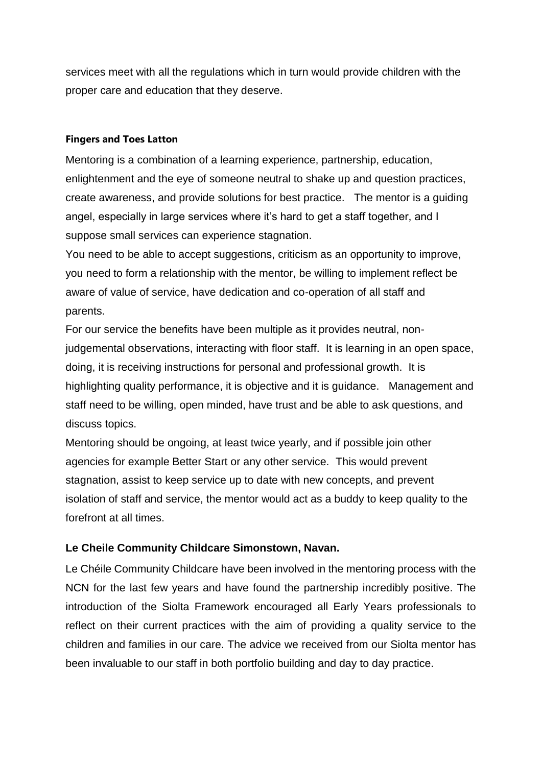services meet with all the regulations which in turn would provide children with the proper care and education that they deserve.

## **Fingers and Toes Latton**

Mentoring is a combination of a learning experience, partnership, education, enlightenment and the eye of someone neutral to shake up and question practices, create awareness, and provide solutions for best practice. The mentor is a guiding angel, especially in large services where it's hard to get a staff together, and I suppose small services can experience stagnation.

You need to be able to accept suggestions, criticism as an opportunity to improve, you need to form a relationship with the mentor, be willing to implement reflect be aware of value of service, have dedication and co-operation of all staff and parents.

For our service the benefits have been multiple as it provides neutral, nonjudgemental observations, interacting with floor staff. It is learning in an open space, doing, it is receiving instructions for personal and professional growth. It is highlighting quality performance, it is objective and it is guidance. Management and staff need to be willing, open minded, have trust and be able to ask questions, and discuss topics.

Mentoring should be ongoing, at least twice yearly, and if possible join other agencies for example Better Start or any other service. This would prevent stagnation, assist to keep service up to date with new concepts, and prevent isolation of staff and service, the mentor would act as a buddy to keep quality to the forefront at all times.

## **Le Cheile Community Childcare Simonstown, Navan.**

Le Chéile Community Childcare have been involved in the mentoring process with the NCN for the last few years and have found the partnership incredibly positive. The introduction of the Siolta Framework encouraged all Early Years professionals to reflect on their current practices with the aim of providing a quality service to the children and families in our care. The advice we received from our Siolta mentor has been invaluable to our staff in both portfolio building and day to day practice.